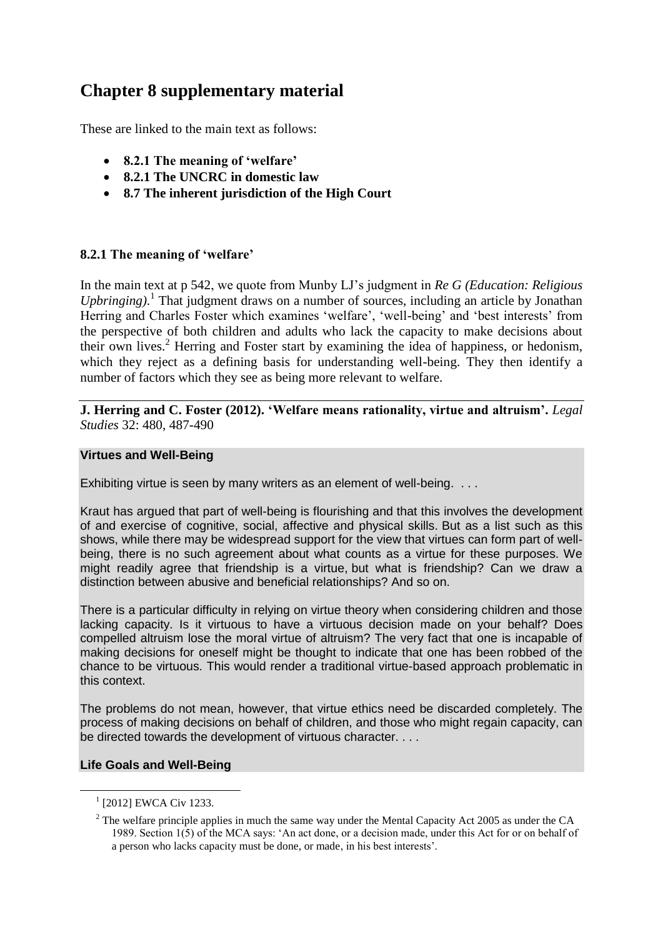# **Chapter 8 supplementary material**

These are linked to the main text as follows:

- **8.2.1 The meaning of 'welfare'**
- **8.2.1 The UNCRC in domestic law**
- **8.7 The inherent jurisdiction of the High Court**

# **8.2.1 The meaning of 'welfare'**

In the main text at p 542, we quote from Munby LJ's judgment in *Re G (Education: Religious Upbringing)*. 1 That judgment draws on a number of sources, including an article by Jonathan Herring and Charles Foster which examines 'welfare', 'well-being' and 'best interests' from the perspective of both children and adults who lack the capacity to make decisions about their own lives.<sup>2</sup> Herring and Foster start by examining the idea of happiness, or hedonism, which they reject as a defining basis for understanding well-being. They then identify a number of factors which they see as being more relevant to welfare.

**J. Herring and C. Foster (2012). 'Welfare means rationality, virtue and altruism'.** *Legal Studies* 32: 480, 487-490

#### **Virtues and Well-Being**

Exhibiting virtue is seen by many writers as an element of well-being. . . .

Kraut has argued that part of well-being is flourishing and that this involves the development of and exercise of cognitive, social, affective and physical skills. But as a list such as this shows, while there may be widespread support for the view that virtues can form part of wellbeing, there is no such agreement about what counts as a virtue for these purposes. We might readily agree that friendship is a virtue, but what is friendship? Can we draw a distinction between abusive and beneficial relationships? And so on.

There is a particular difficulty in relying on virtue theory when considering children and those lacking capacity. Is it virtuous to have a virtuous decision made on your behalf? Does compelled altruism lose the moral virtue of altruism? The very fact that one is incapable of making decisions for oneself might be thought to indicate that one has been robbed of the chance to be virtuous. This would render a traditional virtue-based approach problematic in this context.

The problems do not mean, however, that virtue ethics need be discarded completely. The process of making decisions on behalf of children, and those who might regain capacity, can be directed towards the development of virtuous character. . . .

#### **Life Goals and Well-Being**

1

<sup>1</sup> [2012] EWCA Civ 1233.

<sup>&</sup>lt;sup>2</sup> The welfare principle applies in much the same way under the Mental Capacity Act 2005 as under the CA 1989. Section 1(5) of the MCA says: 'An act done, or a decision made, under this Act for or on behalf of a person who lacks capacity must be done, or made, in his best interests'.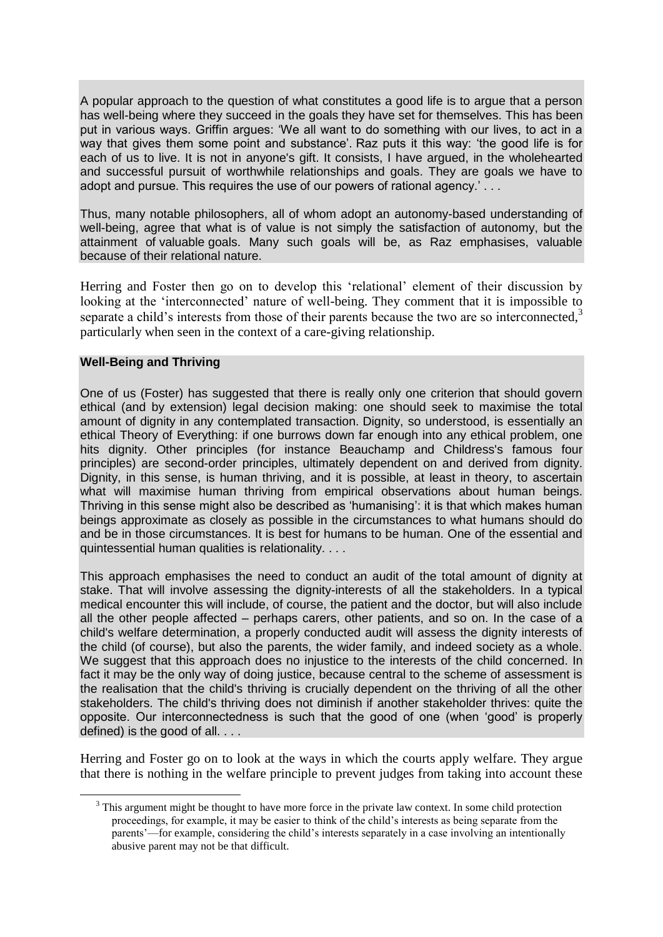A popular approach to the question of what constitutes a good life is to argue that a person has well-being where they succeed in the goals they have set for themselves. This has been put in various ways. Griffin argues: 'We all want to do something with our lives, to act in a way that gives them some point and substance'. Raz puts it this way: 'the good life is for each of us to live. It is not in anyone's gift. It consists, I have argued, in the wholehearted and successful pursuit of worthwhile relationships and goals. They are goals we have to adopt and pursue. This requires the use of our powers of rational agency.' . . .

Thus, many notable philosophers, all of whom adopt an autonomy-based understanding of well-being, agree that what is of value is not simply the satisfaction of autonomy, but the attainment of valuable goals. Many such goals will be, as Raz emphasises, valuable because of their relational nature.

Herring and Foster then go on to develop this 'relational' element of their discussion by looking at the 'interconnected' nature of well-being. They comment that it is impossible to separate a child's interests from those of their parents because the two are so interconnected, $3$ particularly when seen in the context of a care-giving relationship.

#### **Well-Being and Thriving**

1

One of us (Foster) has suggested that there is really only one criterion that should govern ethical (and by extension) legal decision making: one should seek to maximise the total amount of dignity in any contemplated transaction. Dignity, so understood, is essentially an ethical Theory of Everything: if one burrows down far enough into any ethical problem, one hits dignity. Other principles (for instance Beauchamp and Childress's famous four principles) are second-order principles, ultimately dependent on and derived from dignity. Dignity, in this sense, is human thriving, and it is possible, at least in theory, to ascertain what will maximise human thriving from empirical observations about human beings. Thriving in this sense might also be described as 'humanising': it is that which makes human beings approximate as closely as possible in the circumstances to what humans should do and be in those circumstances. It is best for humans to be human. One of the essential and quintessential human qualities is relationality. . . .

This approach emphasises the need to conduct an audit of the total amount of dignity at stake. That will involve assessing the dignity-interests of all the stakeholders. In a typical medical encounter this will include, of course, the patient and the doctor, but will also include all the other people affected – perhaps carers, other patients, and so on. In the case of a child's welfare determination, a properly conducted audit will assess the dignity interests of the child (of course), but also the parents, the wider family, and indeed society as a whole. We suggest that this approach does no injustice to the interests of the child concerned. In fact it may be the only way of doing justice, because central to the scheme of assessment is the realisation that the child's thriving is crucially dependent on the thriving of all the other stakeholders. The child's thriving does not diminish if another stakeholder thrives: quite the opposite. Our interconnectedness is such that the good of one (when 'good' is properly defined) is the good of all. . . .

Herring and Foster go on to look at the ways in which the courts apply welfare. They argue that there is nothing in the welfare principle to prevent judges from taking into account these

<sup>&</sup>lt;sup>3</sup> This argument might be thought to have more force in the private law context. In some child protection proceedings, for example, it may be easier to think of the child's interests as being separate from the parents'—for example, considering the child's interests separately in a case involving an intentionally abusive parent may not be that difficult.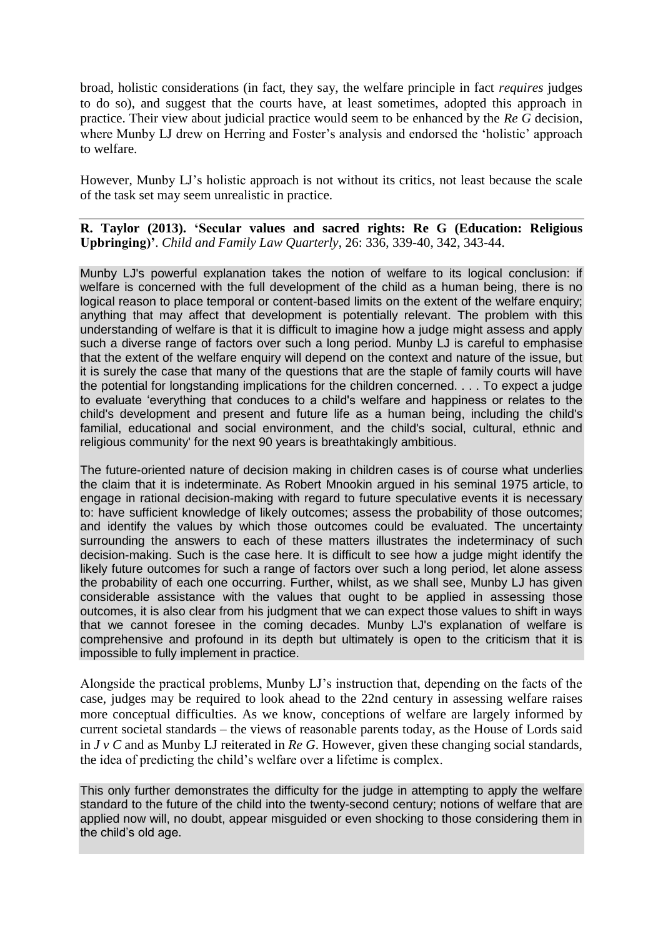broad, holistic considerations (in fact, they say, the welfare principle in fact *requires* judges to do so), and suggest that the courts have, at least sometimes, adopted this approach in practice. Their view about judicial practice would seem to be enhanced by the *Re G* decision, where Munby LJ drew on Herring and Foster's analysis and endorsed the 'holistic' approach to welfare.

However, Munby LJ's holistic approach is not without its critics, not least because the scale of the task set may seem unrealistic in practice.

**R. Taylor (2013). 'Secular values and sacred rights: Re G (Education: Religious Upbringing)'**. *Child and Family Law Quarterly*, 26: 336, 339-40, 342, 343-44.

Munby LJ's powerful explanation takes the notion of welfare to its logical conclusion: if welfare is concerned with the full development of the child as a human being, there is no logical reason to place temporal or content-based limits on the extent of the welfare enquiry; anything that may affect that development is potentially relevant. The problem with this understanding of welfare is that it is difficult to imagine how a judge might assess and apply such a diverse range of factors over such a long period. Munby LJ is careful to emphasise that the extent of the welfare enquiry will depend on the context and nature of the issue, but it is surely the case that many of the questions that are the staple of family courts will have the potential for longstanding implications for the children concerned. . . . To expect a judge to evaluate 'everything that conduces to a child's welfare and happiness or relates to the child's development and present and future life as a human being, including the child's familial, educational and social environment, and the child's social, cultural, ethnic and religious community' for the next 90 years is breathtakingly ambitious.

The future-oriented nature of decision making in children cases is of course what underlies the claim that it is indeterminate. As Robert Mnookin argued in his seminal 1975 article, to engage in rational decision-making with regard to future speculative events it is necessary to: have sufficient knowledge of likely outcomes; assess the probability of those outcomes; and identify the values by which those outcomes could be evaluated. The uncertainty surrounding the answers to each of these matters illustrates the indeterminacy of such decision-making. Such is the case here. It is difficult to see how a judge might identify the likely future outcomes for such a range of factors over such a long period, let alone assess the probability of each one occurring. Further, whilst, as we shall see, Munby LJ has given considerable assistance with the values that ought to be applied in assessing those outcomes, it is also clear from his judgment that we can expect those values to shift in ways that we cannot foresee in the coming decades. Munby LJ's explanation of welfare is comprehensive and profound in its depth but ultimately is open to the criticism that it is impossible to fully implement in practice.

Alongside the practical problems, Munby LJ's instruction that, depending on the facts of the case, judges may be required to look ahead to the 22nd century in assessing welfare raises more conceptual difficulties. As we know, conceptions of welfare are largely informed by current societal standards – the views of reasonable parents today, as the House of Lords said in *J v C* and as Munby LJ reiterated in *Re G*. However, given these changing social standards, the idea of predicting the child's welfare over a lifetime is complex.

This only further demonstrates the difficulty for the judge in attempting to apply the welfare standard to the future of the child into the twenty-second century; notions of welfare that are applied now will, no doubt, appear misguided or even shocking to those considering them in the child's old age.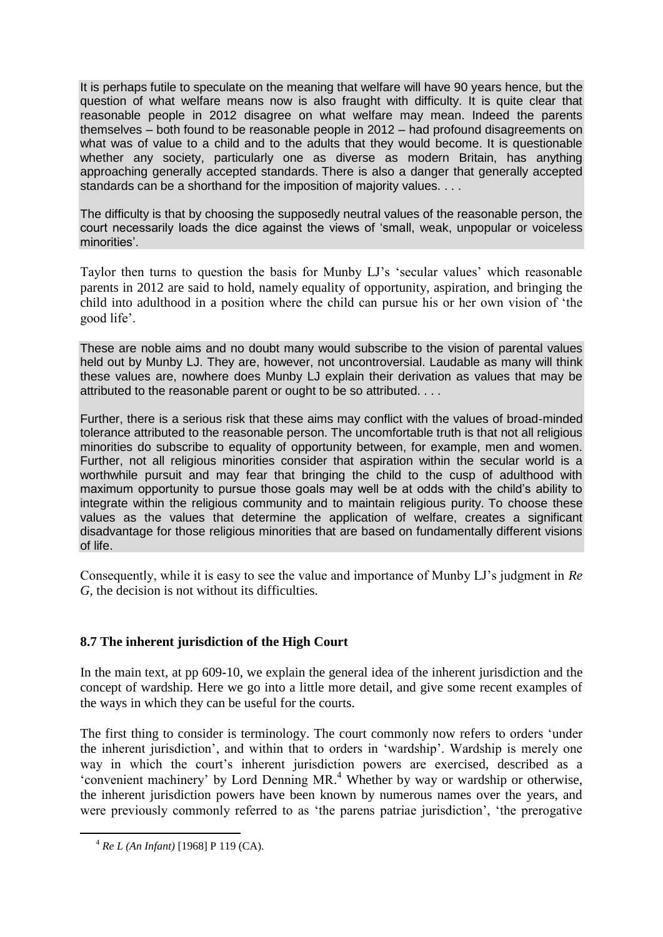It is perhaps futile to speculate on the meaning that welfare will have 90 years hence, but the question of what welfare means now is also fraught with difficulty. It is quite clear that reasonable people in 2012 disagree on what welfare may mean. Indeed the parents themselves – both found to be reasonable people in 2012 – had profound disagreements on what was of value to a child and to the adults that they would become. It is questionable whether any society, particularly one as diverse as modern Britain, has anything approaching generally accepted standards. There is also a danger that generally accepted standards can be a shorthand for the imposition of majority values. . . .

The difficulty is that by choosing the supposedly neutral values of the reasonable person, the court necessarily loads the dice against the views of 'small, weak, unpopular or voiceless minorities'.

Taylor then turns to question the basis for Munby LJ's 'secular values' which reasonable parents in 2012 are said to hold, namely equality of opportunity, aspiration, and bringing the child into adulthood in a position where the child can pursue his or her own vision of 'the good life'.

These are noble aims and no doubt many would subscribe to the vision of parental values held out by Munby LJ. They are, however, not uncontroversial. Laudable as many will think these values are, nowhere does Munby LJ explain their derivation as values that may be attributed to the reasonable parent or ought to be so attributed. . . .

Further, there is a serious risk that these aims may conflict with the values of broad-minded tolerance attributed to the reasonable person. The uncomfortable truth is that not all religious minorities do subscribe to equality of opportunity between, for example, men and women. Further, not all religious minorities consider that aspiration within the secular world is a worthwhile pursuit and may fear that bringing the child to the cusp of adulthood with maximum opportunity to pursue those goals may well be at odds with the child's ability to integrate within the religious community and to maintain religious purity. To choose these values as the values that determine the application of welfare, creates a significant disadvantage for those religious minorities that are based on fundamentally different visions of life.

Consequently, while it is easy to see the value and importance of Munby LJ's judgment in *Re G*, the decision is not without its difficulties.

# **8.7 The inherent jurisdiction of the High Court**

In the main text, at pp 609-10, we explain the general idea of the inherent jurisdiction and the concept of wardship. Here we go into a little more detail, and give some recent examples of the ways in which they can be useful for the courts.

The first thing to consider is terminology. The court commonly now refers to orders 'under the inherent jurisdiction', and within that to orders in 'wardship'. Wardship is merely one way in which the court's inherent jurisdiction powers are exercised, described as a 'convenient machinery' by Lord Denning MR. <sup>4</sup> Whether by way or wardship or otherwise, the inherent jurisdiction powers have been known by numerous names over the years, and were previously commonly referred to as 'the parens patriae jurisdiction', 'the prerogative

<u>.</u>

<sup>4</sup> *Re L (An Infant)* [1968] P 119 (CA).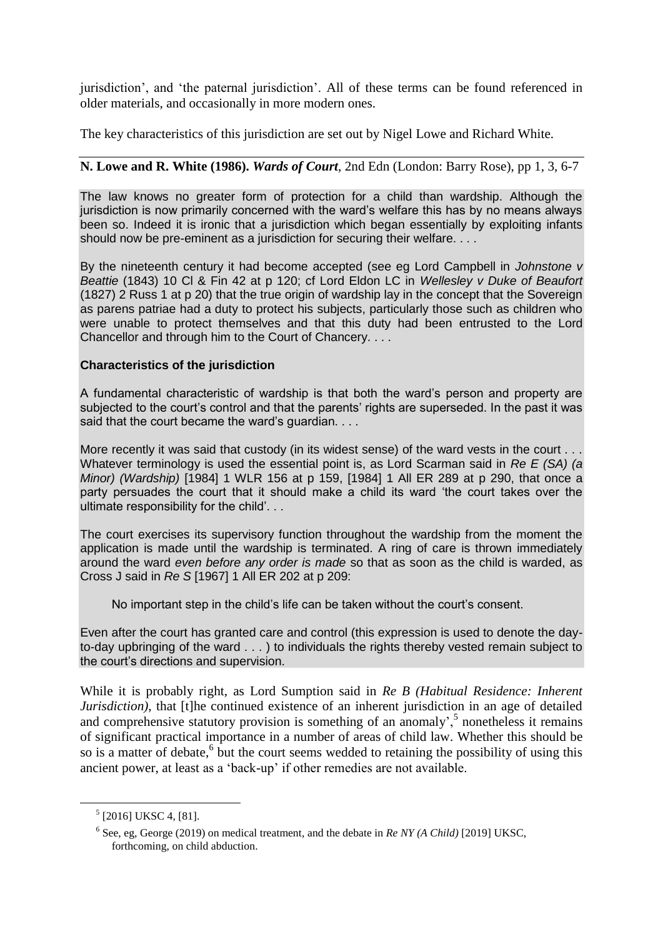jurisdiction', and 'the paternal jurisdiction'. All of these terms can be found referenced in older materials, and occasionally in more modern ones.

The key characteristics of this jurisdiction are set out by Nigel Lowe and Richard White.

## **N. Lowe and R. White (1986).** *Wards of Court*, 2nd Edn (London: Barry Rose), pp 1, 3, 6-7

The law knows no greater form of protection for a child than wardship. Although the jurisdiction is now primarily concerned with the ward's welfare this has by no means always been so. Indeed it is ironic that a jurisdiction which began essentially by exploiting infants should now be pre-eminent as a jurisdiction for securing their welfare. . . .

By the nineteenth century it had become accepted (see eg Lord Campbell in *Johnstone v Beattie* (1843) 10 Cl & Fin 42 at p 120; cf Lord Eldon LC in *Wellesley v Duke of Beaufort*  (1827) 2 Russ 1 at p 20) that the true origin of wardship lay in the concept that the Sovereign as parens patriae had a duty to protect his subjects, particularly those such as children who were unable to protect themselves and that this duty had been entrusted to the Lord Chancellor and through him to the Court of Chancery. . . .

## **Characteristics of the jurisdiction**

A fundamental characteristic of wardship is that both the ward's person and property are subjected to the court's control and that the parents' rights are superseded. In the past it was said that the court became the ward's guardian. . . .

More recently it was said that custody (in its widest sense) of the ward vests in the court. Whatever terminology is used the essential point is, as Lord Scarman said in *Re E (SA) (a Minor) (Wardship)* [1984] 1 WLR 156 at p 159, [1984] 1 All ER 289 at p 290, that once a party persuades the court that it should make a child its ward 'the court takes over the ultimate responsibility for the child'. . .

The court exercises its supervisory function throughout the wardship from the moment the application is made until the wardship is terminated. A ring of care is thrown immediately around the ward *even before any order is made* so that as soon as the child is warded, as Cross J said in *Re S* [1967] 1 All ER 202 at p 209:

No important step in the child's life can be taken without the court's consent.

Even after the court has granted care and control (this expression is used to denote the dayto-day upbringing of the ward . . . ) to individuals the rights thereby vested remain subject to the court's directions and supervision.

While it is probably right, as Lord Sumption said in *Re B (Habitual Residence: Inherent Jurisdiction*), that [t]he continued existence of an inherent jurisdiction in an age of detailed and comprehensive statutory provision is something of an anomaly',<sup>5</sup> nonetheless it remains of significant practical importance in a number of areas of child law. Whether this should be so is a matter of debate,<sup>6</sup> but the court seems wedded to retaining the possibility of using this ancient power, at least as a 'back-up' if other remedies are not available.

<u>.</u>

<sup>&</sup>lt;sup>5</sup> [2016] UKSC 4, [81].

<sup>6</sup> See, eg, George (2019) on medical treatment, and the debate in *Re NY (A Child)* [2019] UKSC, forthcoming, on child abduction.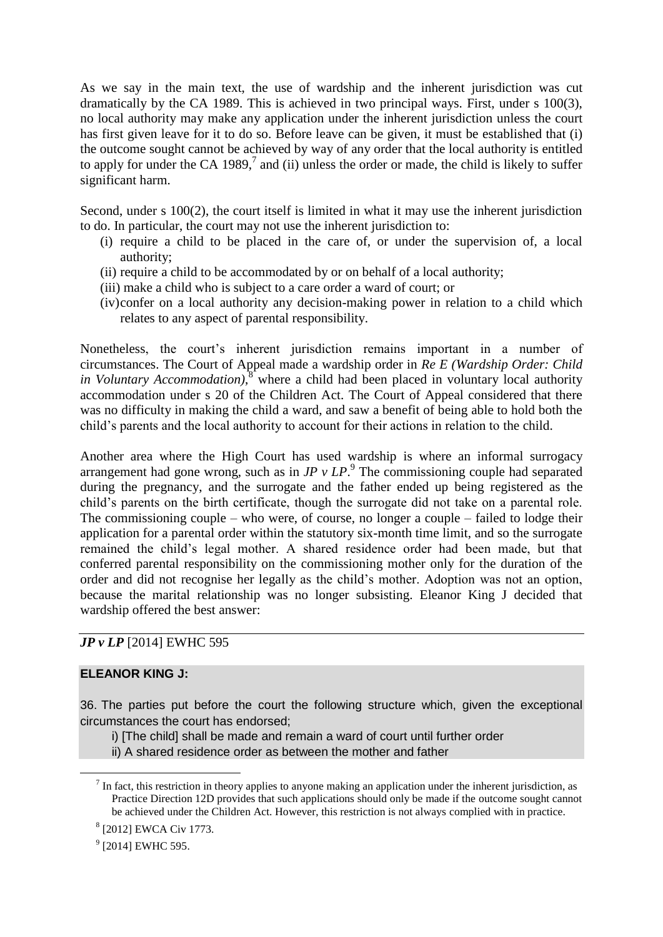As we say in the main text, the use of wardship and the inherent jurisdiction was cut dramatically by the CA 1989. This is achieved in two principal ways. First, under s 100(3), no local authority may make any application under the inherent jurisdiction unless the court has first given leave for it to do so. Before leave can be given, it must be established that (i) the outcome sought cannot be achieved by way of any order that the local authority is entitled to apply for under the CA 1989, $^7$  and (ii) unless the order or made, the child is likely to suffer significant harm.

Second, under s 100(2), the court itself is limited in what it may use the inherent jurisdiction to do. In particular, the court may not use the inherent jurisdiction to:

- (i) require a child to be placed in the care of, or under the supervision of, a local authority;
- (ii) require a child to be accommodated by or on behalf of a local authority;
- (iii) make a child who is subject to a care order a ward of court; or
- (iv)confer on a local authority any decision-making power in relation to a child which relates to any aspect of parental responsibility.

Nonetheless, the court's inherent jurisdiction remains important in a number of circumstances. The Court of Appeal made a wardship order in *Re E (Wardship Order: Child in Voluntary Accommodation)*, <sup>8</sup> where a child had been placed in voluntary local authority accommodation under s 20 of the Children Act. The Court of Appeal considered that there was no difficulty in making the child a ward, and saw a benefit of being able to hold both the child's parents and the local authority to account for their actions in relation to the child.

Another area where the High Court has used wardship is where an informal surrogacy arrangement had gone wrong, such as in  $JP$   $v$   $LP$ .<sup>9</sup> The commissioning couple had separated during the pregnancy, and the surrogate and the father ended up being registered as the child's parents on the birth certificate, though the surrogate did not take on a parental role. The commissioning couple – who were, of course, no longer a couple – failed to lodge their application for a parental order within the statutory six-month time limit, and so the surrogate remained the child's legal mother. A shared residence order had been made, but that conferred parental responsibility on the commissioning mother only for the duration of the order and did not recognise her legally as the child's mother. Adoption was not an option, because the marital relationship was no longer subsisting. Eleanor King J decided that wardship offered the best answer:

## *JP v LP* [2014] EWHC 595

#### **ELEANOR KING J:**

<u>.</u>

36. The parties put before the court the following structure which, given the exceptional circumstances the court has endorsed;

i) [The child] shall be made and remain a ward of court until further order

ii) A shared residence order as between the mother and father

 $^{9}$  [2014] EWHC 595.

 $<sup>7</sup>$  In fact, this restriction in theory applies to anyone making an application under the inherent jurisdiction, as</sup> Practice Direction 12D provides that such applications should only be made if the outcome sought cannot be achieved under the Children Act. However, this restriction is not always complied with in practice.

<sup>8</sup> [2012] EWCA Civ 1773.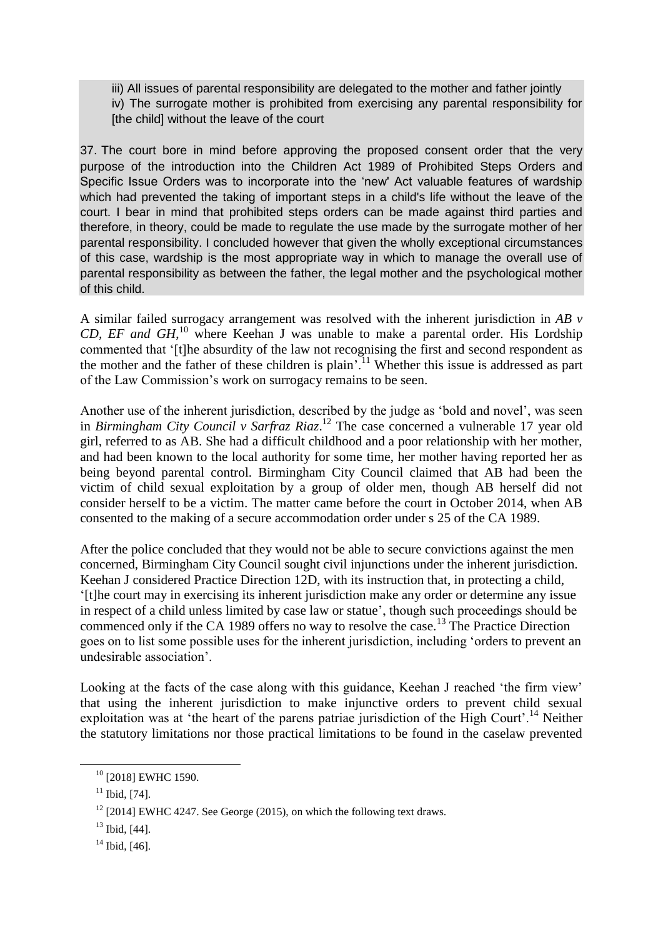iii) All issues of parental responsibility are delegated to the mother and father jointly iv) The surrogate mother is prohibited from exercising any parental responsibility for [the child] without the leave of the court

37. The court bore in mind before approving the proposed consent order that the very purpose of the introduction into the Children Act 1989 of Prohibited Steps Orders and Specific Issue Orders was to incorporate into the 'new' Act valuable features of wardship which had prevented the taking of important steps in a child's life without the leave of the court. I bear in mind that prohibited steps orders can be made against third parties and therefore, in theory, could be made to regulate the use made by the surrogate mother of her parental responsibility. I concluded however that given the wholly exceptional circumstances of this case, wardship is the most appropriate way in which to manage the overall use of parental responsibility as between the father, the legal mother and the psychological mother of this child.

A similar failed surrogacy arrangement was resolved with the inherent jurisdiction in *AB v CD, EF and GH*, <sup>10</sup> where Keehan J was unable to make a parental order. His Lordship commented that '[t]he absurdity of the law not recognising the first and second respondent as the mother and the father of these children is plain'.<sup>11</sup> Whether this issue is addressed as part of the Law Commission's work on surrogacy remains to be seen.

Another use of the inherent jurisdiction, described by the judge as 'bold and novel', was seen in *Birmingham City Council v Sarfraz Riaz*. <sup>12</sup> The case concerned a vulnerable 17 year old girl, referred to as AB. She had a difficult childhood and a poor relationship with her mother, and had been known to the local authority for some time, her mother having reported her as being beyond parental control. Birmingham City Council claimed that AB had been the victim of child sexual exploitation by a group of older men, though AB herself did not consider herself to be a victim. The matter came before the court in October 2014, when AB consented to the making of a secure accommodation order under s 25 of the CA 1989.

After the police concluded that they would not be able to secure convictions against the men concerned, Birmingham City Council sought civil injunctions under the inherent jurisdiction. Keehan J considered Practice Direction 12D, with its instruction that, in protecting a child, '[t]he court may in exercising its inherent jurisdiction make any order or determine any issue in respect of a child unless limited by case law or statue', though such proceedings should be commenced only if the CA 1989 offers no way to resolve the case.<sup>13</sup> The Practice Direction goes on to list some possible uses for the inherent jurisdiction, including 'orders to prevent an undesirable association'.

Looking at the facts of the case along with this guidance, Keehan J reached 'the firm view' that using the inherent jurisdiction to make injunctive orders to prevent child sexual exploitation was at 'the heart of the parens patriae jurisdiction of the High Court'.<sup>14</sup> Neither the statutory limitations nor those practical limitations to be found in the caselaw prevented

1

<sup>&</sup>lt;sup>10</sup> [2018] EWHC 1590.

 $11$  Ibid, [74].

 $12$  [2014] EWHC 4247. See George (2015), on which the following text draws.

<sup>13</sup> Ibid, [44].

 $14$  Ibid, [46].